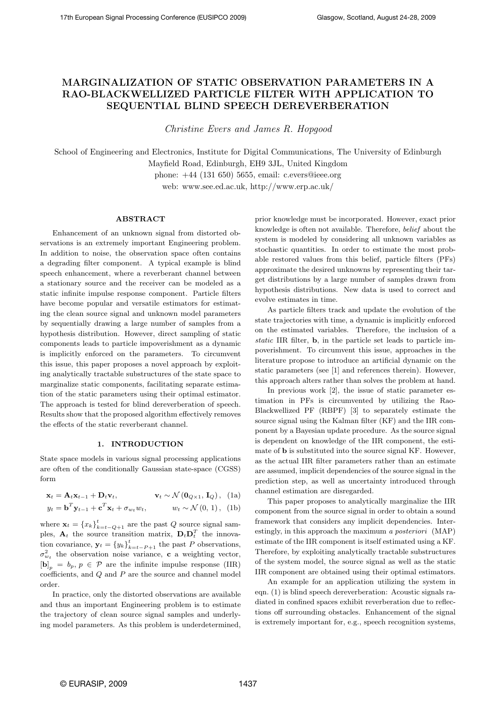# MARGINALIZATION OF STATIC OBSERVATION PARAMETERS IN A RAO-BLACKWELLIZED PARTICLE FILTER WITH APPLICATION TO SEQUENTIAL BLIND SPEECH DEREVERBERATION

Christine Evers and James R. Hopgood

School of Engineering and Electronics, Institute for Digital Communications, The University of Edinburgh Mayfield Road, Edinburgh, EH9 3JL, United Kingdom phone: +44 (131 650) 5655, email: c.evers@ieee.org

web: www.see.ed.ac.uk, http://www.erp.ac.uk/

# ABSTRACT

Enhancement of an unknown signal from distorted observations is an extremely important Engineering problem. In addition to noise, the observation space often contains a degrading filter component. A typical example is blind speech enhancement, where a reverberant channel between a stationary source and the receiver can be modeled as a static infinite impulse response component. Particle filters have become popular and versatile estimators for estimating the clean source signal and unknown model parameters by sequentially drawing a large number of samples from a hypothesis distribution. However, direct sampling of static components leads to particle impoverishment as a dynamic is implicitly enforced on the parameters. To circumvent this issue, this paper proposes a novel approach by exploiting analytically tractable substructures of the state space to marginalize static components, facilitating separate estimation of the static parameters using their optimal estimator. The approach is tested for blind dereverberation of speech. Results show that the proposed algorithm effectively removes the effects of the static reverberant channel.

# 1. INTRODUCTION

State space models in various signal processing applications are often of the conditionally Gaussian state-space (CGSS) form

$$
\mathbf{x}_{t} = \mathbf{A}_{t} \mathbf{x}_{t-1} + \mathbf{D}_{t} \mathbf{v}_{t}, \qquad \mathbf{v}_{t} \sim \mathcal{N}(\mathbf{0}_{Q \times 1}, \mathbf{I}_{Q}), \text{ (1a)}
$$
  

$$
y_{t} = \mathbf{b}^{T} \mathbf{y}_{t-1} + \mathbf{c}^{T} \mathbf{x}_{t} + \sigma_{w_{t}} w_{t}, \qquad w_{t} \sim \mathcal{N}(0, 1), \text{ (1b)}
$$

where  $\mathbf{x}_t = \{x_k\}_{k=t-Q+1}^t$  are the past Q source signal samples,  $\mathbf{A}_t$  the source transition matrix,  $\mathbf{D}_t \mathbf{D}_t^T$  the innovation covariance,  $\mathbf{y}_t = \{y_k\}_{k=t-P+1}^t$  the past P observations,  $\sigma_{w_t}^2$  the observation noise variance, **c** a weighting vector,  $[\mathbf{b}]_p = b_p, p \in \mathcal{P}$  are the infinite impulse response (IIR) coefficients, and Q and P are the source and channel model order.

In practice, only the distorted observations are available and thus an important Engineering problem is to estimate the trajectory of clean source signal samples and underlying model parameters. As this problem is underdetermined,

prior knowledge must be incorporated. However, exact prior knowledge is often not available. Therefore, belief about the system is modeled by considering all unknown variables as stochastic quantities. In order to estimate the most probable restored values from this belief, particle filters (PFs) approximate the desired unknowns by representing their target distributions by a large number of samples drawn from hypothesis distributions. New data is used to correct and evolve estimates in time.

As particle filters track and update the evolution of the state trajectories with time, a dynamic is implicitly enforced on the estimated variables. Therefore, the inclusion of a static IIR filter, b, in the particle set leads to particle impoverishment. To circumvent this issue, approaches in the literature propose to introduce an artificial dynamic on the static parameters (see [1] and references therein). However, this approach alters rather than solves the problem at hand.

In previous work [2], the issue of static parameter estimation in PFs is circumvented by utilizing the Rao-Blackwellized PF (RBPF) [3] to separately estimate the source signal using the Kalman filter (KF) and the IIR component by a Bayesian update procedure. As the source signal is dependent on knowledge of the IIR component, the estimate of b is substituted into the source signal KF. However, as the actual IIR filter parameters rather than an estimate are assumed, implicit dependencies of the source signal in the prediction step, as well as uncertainty introduced through channel estimation are disregarded.

This paper proposes to analytically marginalize the IIR component from the source signal in order to obtain a sound framework that considers any implicit dependencies. Interestingly, in this approach the maximum a posteriori (MAP) estimate of the IIR component is itself estimated using a KF. Therefore, by exploiting analytically tractable substructures of the system model, the source signal as well as the static IIR component are obtained using their optimal estimators.

An example for an application utilizing the system in eqn. (1) is blind speech dereverberation: Acoustic signals radiated in confined spaces exhibit reverberation due to reflections off surrounding obstacles. Enhancement of the signal is extremely important for, e.g., speech recognition systems,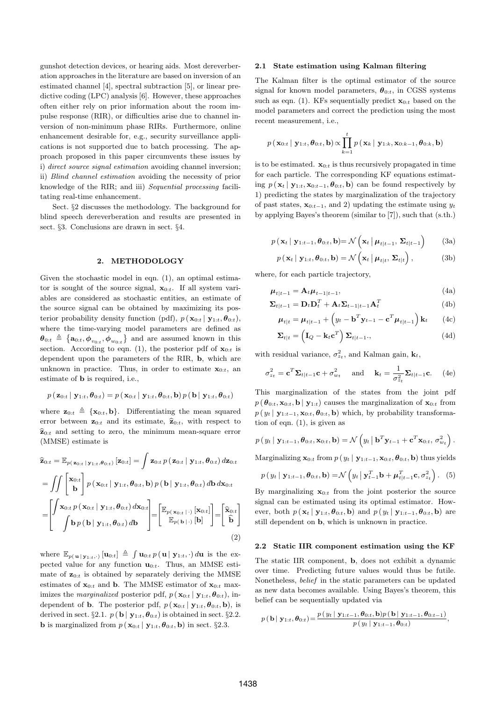gunshot detection devices, or hearing aids. Most dereverberation approaches in the literature are based on inversion of an estimated channel [4], spectral subtraction [5], or linear predictive coding (LPC) analysis [6]. However, these approaches often either rely on prior information about the room impulse response (RIR), or difficulties arise due to channel inversion of non-minimum phase RIRs. Furthermore, online enhancement desirable for, e.g., security surveillance applications is not supported due to batch processing. The approach proposed in this paper circumvents these issues by i) direct source signal estimation avoiding channel inversion; ii) Blind channel estimation avoiding the necessity of prior knowledge of the RIR; and iii) Sequential processing facilitating real-time enhancement.

Sect. §2 discusses the methodology. The background for blind speech dereverberation and results are presented in sect. §3. Conclusions are drawn in sect. §4.

## 2. METHODOLOGY

Given the stochastic model in eqn. (1), an optimal estimator is sought of the source signal,  $\mathbf{x}_{0:t}$ . If all system variables are considered as stochastic entities, an estimate of the source signal can be obtained by maximizing its posterior probability density function (pdf),  $p(\mathbf{x}_{0:t} | \mathbf{y}_{1:t}, \boldsymbol{\theta}_{0:t}),$ where the time-varying model parameters are defined as  $\theta_{0:t} \triangleq \{\mathbf{a}_{0:t}, \phi_{v_{0:t}}, \phi_{w_{0:t}}\}$  and are assumed known in this section. According to eqn. (1), the posterior pdf of  $\mathbf{x}_{0:t}$  is dependent upon the parameters of the RIR, b, which are unknown in practice. Thus, in order to estimate  $\mathbf{x}_{0:t}$ , an estimate of b is required, i.e.,

$$
p\left( {\left. {{{\mathbf{z}}_{0:t}}} \right|{\left. {{{\mathbf{y}}_{1:t}},{{\boldsymbol{\theta }}_{0:t}}} \right)} \right. = p\left( {\left. {{{\mathbf{x}}_{0:t}}} \right|{\left. {{{\mathbf{y}}_{1:t}},{{\boldsymbol{\theta }}_{0:t}}},\mathbf{b} \right)} \right.}p\left( {\left. {{\mathbf{b}}} \right|{\left. {{{\mathbf{y}}_{1:t}},{{\boldsymbol{\theta }}_{0:t}}} \right)} \right.
$$

where  $\mathbf{z}_{0:t} \triangleq {\mathbf{x}_{0:t}, \mathbf{b}}$ . Differentiating the mean squared error between  $\mathbf{z}_{0:t}$  and its estimate,  $\widehat{\mathbf{z}}_{0:t}$ , with respect to  $\hat{\mathbf{z}}_{0:t}$  and setting to zero, the minimum mean-square error (MMSE) estimate is

$$
\hat{\mathbf{z}}_{0:t} = \mathbb{E}_{p(\mathbf{z}_{0:t} | \mathbf{y}_{1:t}, \boldsymbol{\theta}_{0:t})} [\mathbf{z}_{0:t}] = \int \mathbf{z}_{0:t} p(\mathbf{z}_{0:t} | \mathbf{y}_{1:t}, \boldsymbol{\theta}_{0:t}) d\mathbf{z}_{0:t}
$$
\n
$$
= \iint \begin{bmatrix} \mathbf{x}_{0:t} \\ \mathbf{b} \end{bmatrix} p(\mathbf{x}_{0:t} | \mathbf{y}_{1:t}, \boldsymbol{\theta}_{0:t}, \mathbf{b}) p(\mathbf{b} | \mathbf{y}_{1:t}, \boldsymbol{\theta}_{0:t}) d\mathbf{b} d\mathbf{x}_{0:t}
$$
\n
$$
= \begin{bmatrix} \int \mathbf{x}_{0:t} p(\mathbf{x}_{0:t} | \mathbf{y}_{1:t}, \boldsymbol{\theta}_{0:t}) d\mathbf{x}_{0:t} \\ \int \mathbf{b} p(\mathbf{b} | \mathbf{y}_{1:t}, \boldsymbol{\theta}_{0:t}) d\mathbf{b} \end{bmatrix} = \begin{bmatrix} \mathbb{E}_{p(\mathbf{x}_{0:t} | \cdot)} [\mathbf{x}_{0:t}] \\ \mathbb{E}_{p(\mathbf{b} | \cdot)} [\mathbf{b}] \end{bmatrix} = \begin{bmatrix} \hat{\mathbf{x}}_{0:t} \\ \hat{\mathbf{b}} \end{bmatrix}
$$
\n(2)

where  $\mathbb{E}_{p(\mathbf{u} \mid \mathbf{y}_{1:t}, \cdot)}[\mathbf{u}_{0:t}] \triangleq \int \mathbf{u}_{0:t} p(\mathbf{u} \mid \mathbf{y}_{1:t}, \cdot) d\mathbf{u}$  is the expected value for any function  $\mathbf{u}_{0:t}$ . Thus, an MMSE estimate of  $\mathbf{z}_{0:t}$  is obtained by separately deriving the MMSE estimates of  $\mathbf{x}_{0:t}$  and **b**. The MMSE estimator of  $\mathbf{x}_{0:t}$  maximizes the *marginalized* posterior pdf,  $p(\mathbf{x}_{0:t} | \mathbf{y}_{1:t}, \boldsymbol{\theta}_{0:t}),$  independent of **b**. The posterior pdf,  $p(\mathbf{x}_{0:t} | \mathbf{y}_{1:t}, \boldsymbol{\theta}_{0:t}, \mathbf{b})$ , is derived in sect. §2.1.  $p(\mathbf{b} | \mathbf{y}_{1:t}, \theta_{0:t})$  is obtained in sect. §2.2. **b** is marginalized from  $p(\mathbf{x}_{0:t} | \mathbf{y}_{1:t}, \boldsymbol{\theta}_{0:t}, \mathbf{b})$  in sect. §2.3.

### 2.1 State estimation using Kalman filtering

The Kalman filter is the optimal estimator of the source signal for known model parameters,  $\theta_{0:t}$ , in CGSS systems such as eqn. (1). KFs sequentially predict  $\mathbf{x}_{0:t}$  based on the model parameters and correct the prediction using the most recent measurement, i.e.,

$$
p(\mathbf{x}_{0:t} | \mathbf{y}_{1:t}, \boldsymbol{\theta}_{0:t}, \mathbf{b}) \propto \prod_{k=1}^{t} p(\mathbf{x}_k | \mathbf{y}_{1:k}, \mathbf{x}_{0:k-1}, \boldsymbol{\theta}_{0:k}, \mathbf{b})
$$

is to be estimated.  $\mathbf{x}_{0:t}$  is thus recursively propagated in time for each particle. The corresponding KF equations estimating  $p(\mathbf{x}_t | \mathbf{y}_{1:t}, \mathbf{x}_{0:t-1}, \boldsymbol{\theta}_{0:t}, \mathbf{b})$  can be found respectively by 1) predicting the states by marginalization of the trajectory of past states,  $\mathbf{x}_{0:t-1}$ , and 2) updating the estimate using  $y_t$ by applying Bayes's theorem (similar to [7]), such that (s.th.)

$$
p(\mathbf{x}_t | \mathbf{y}_{1:t-1}, \boldsymbol{\theta}_{0:t}, \mathbf{b}) = \mathcal{N}\left(\mathbf{x}_t | \boldsymbol{\mu}_{t|t-1}, \boldsymbol{\Sigma}_{t|t-1}\right)
$$
 (3a)

$$
p(\mathbf{x}_t | \mathbf{y}_{1:t}, \boldsymbol{\theta}_{0:t}, \mathbf{b}) = \mathcal{N}\left(\mathbf{x}_t | \boldsymbol{\mu}_{t|t}, \boldsymbol{\Sigma}_{t|t}\right), \tag{3b}
$$

where, for each particle trajectory,

$$
\boldsymbol{\mu}_{t|t-1} = \mathbf{A}_t \boldsymbol{\mu}_{t-1|t-1},\tag{4a}
$$

$$
\Sigma_{t|t-1} = \mathbf{D}_t \mathbf{D}_t^T + \mathbf{A}_t \Sigma_{t-1|t-1} \mathbf{A}_t^T
$$
\n(4b)

$$
\boldsymbol{\mu}_{t|t} = \boldsymbol{\mu}_{t|t-1} + \left(y_t - \mathbf{b}^T \mathbf{y}_{t-1} - \mathbf{c}^T \boldsymbol{\mu}_{t|t-1}\right) \mathbf{k}_t \qquad (4c)
$$

$$
\Sigma_{t|t} = \left(\mathbf{I}_Q - \mathbf{k}_t \mathbf{c}^T\right) \Sigma_{t|t-1},\tag{4d}
$$

with residual variance,  $\sigma_{z_t}^2$ , and Kalman gain,  $\mathbf{k}_t$ ,

$$
\sigma_{z_t}^2 = \mathbf{c}^T \mathbf{\Sigma}_{t|t-1} \mathbf{c} + \sigma_{w_t}^2 \quad \text{and} \quad \mathbf{k}_t = \frac{1}{\sigma_{z_t}^2} \mathbf{\Sigma}_{t|t-1} \mathbf{c}. \tag{4e}
$$

This marginalization of the states from the joint pdf  $p(\boldsymbol{\theta}_{0:t}, \mathbf{x}_{0:t}, \mathbf{b} | \mathbf{y}_{1:t})$  causes the marginalization of  $\mathbf{x}_{0:t}$  from  $p(y_t | \mathbf{y}_{1:t-1}, \mathbf{x}_{0:t}, \boldsymbol{\theta}_{0:t}, \mathbf{b})$  which, by probability transformation of eqn. (1), is given as

$$
p(y_t | \mathbf{y}_{1:t-1}, \boldsymbol{\theta}_{0:t}, \mathbf{x}_{0:t}, \mathbf{b}) = \mathcal{N}\left(y_t | \mathbf{b}^T \mathbf{y}_{t-1} + \mathbf{c}^T \mathbf{x}_{0:t}, \sigma_{w_t}^2\right).
$$

Marginalizing  $\mathbf{x}_{0:t}$  from  $p(y_t | \mathbf{y}_{1:t-1}, \mathbf{x}_{0:t}, \boldsymbol{\theta}_{0:t}, \mathbf{b})$  thus yields

$$
p(y_t | \mathbf{y}_{1:t-1}, \boldsymbol{\theta}_{0:t}, \mathbf{b}) = \mathcal{N}\left(y_t | \mathbf{y}_{t-1}^T \mathbf{b} + \boldsymbol{\mu}_{t|t-1}^T \mathbf{c}, \sigma_{z_t}^2\right). (5)
$$

By marginalizing  $\mathbf{x}_{0:t}$  from the joint posterior the source signal can be estimated using its optimal estimator. However, both  $p(\mathbf{x}_t | \mathbf{y}_{1:t}, \boldsymbol{\theta}_{0:t}, \mathbf{b})$  and  $p(y_t | \mathbf{y}_{1:t-1}, \boldsymbol{\theta}_{0:t}, \mathbf{b})$  are still dependent on b, which is unknown in practice.

#### 2.2 Static IIR component estimation using the KF

The static IIR component, b, does not exhibit a dynamic over time. Predicting future values would thus be futile. Nonetheless, belief in the static parameters can be updated as new data becomes available. Using Bayes's theorem, this belief can be sequentially updated via

$$
p(\mathbf{b} | \mathbf{y}_{1:t}, \theta_{0:t}) = \frac{p(y_t | \mathbf{y}_{1:t-1}, \theta_{0:t}, \mathbf{b})p(\mathbf{b} | \mathbf{y}_{1:t-1}, \theta_{0:t-1})}{p(y_t | \mathbf{y}_{1:t-1}, \theta_{0:t})},
$$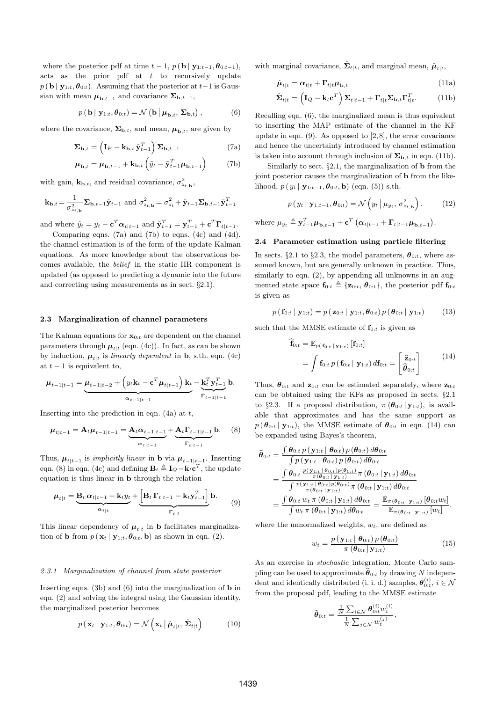where the posterior pdf at time  $t-1$ ,  $p(\mathbf{b} | \mathbf{y}_{1:t-1}, \boldsymbol{\theta}_{0:t-1})$ , acts as the prior pdf at  $t$  to recursively update  $p(\mathbf{b} | \mathbf{y}_{1:t}, \theta_{0:t})$ . Assuming that the posterior at  $t-1$  is Gaussian with mean  $\mu_{\mathbf{b},t-1}$  and covariance  $\Sigma_{\mathbf{b},t-1}$ ,

$$
p(\mathbf{b} \mid \mathbf{y}_{1:t}, \boldsymbol{\theta}_{0:t}) = \mathcal{N}\left(\mathbf{b} \mid \boldsymbol{\mu}_{\mathbf{b},t}, \boldsymbol{\Sigma}_{\mathbf{b},t}\right),\tag{6}
$$

where the covariance,  $\Sigma_{\mathbf{b},t}$ , and mean,  $\mu_{\mathbf{b},t}$ , are given by

$$
\Sigma_{\mathbf{b},t} = \left(\mathbf{I}_P - \mathbf{k}_{\mathbf{b},t} \tilde{\mathbf{y}}_{t-1}^T\right) \Sigma_{\mathbf{b},t-1} \tag{7a}
$$

$$
\boldsymbol{\mu}_{\mathbf{b},t} = \boldsymbol{\mu}_{\mathbf{b},t-1} + \mathbf{k}_{\mathbf{b},t} \left( \tilde{y}_t - \tilde{\mathbf{y}}_{t-1}^T \boldsymbol{\mu}_{\mathbf{b},t-1} \right) \tag{7b}
$$

with gain,  $\mathbf{k}_{\mathbf{b},t}$ , and residual covariance,  $\sigma_{z_{t,\mathbf{b}}}^2$ ,

$$
\mathbf{k}_{\mathbf{b},t} = \frac{1}{\sigma_{z_{t,\mathbf{b}}}^2} \mathbf{\Sigma}_{\mathbf{b},t-1} \tilde{\mathbf{y}}_{t-1} \text{ and } \sigma_{z_{t,\mathbf{b}}}^2 = \sigma_{z_t}^2 + \tilde{\mathbf{y}}_{t-1} \mathbf{\Sigma}_{\mathbf{b},t-1} \tilde{\mathbf{y}}_{t-1}^T
$$

and where  $\tilde{y}_t = y_t - \mathbf{c}^T \boldsymbol{\alpha}_{t|t-1}$  and  $\tilde{\mathbf{y}}_{t-1}^T = \mathbf{y}_{t-1}^T + \mathbf{c}^T \mathbf{\Gamma}_{t|t-1}$ . Comparing eqns. (7a) and (7b) to eqns. (4c) and (4d),

the channel estimation is of the form of the update Kalman equations. As more knowledge about the observations becomes available, the belief in the static IIR component is updated (as opposed to predicting a dynamic into the future and correcting using measurements as in sect. §2.1).

### 2.3 Marginalization of channel parameters

The Kalman equations for  $\mathbf{x}_{0:t}$  are dependent on the channel parameters through  $\mu_{t|t}$  (eqn. (4c)). In fact, as can be shown by induction,  $\mu_{t|t}$  is linearly dependent in **b**, s.th. eqn. (4c) at  $t-1$  is equivalent to,

$$
\mu_{t-1|t-1} = \underbrace{\mu_{t-1|t-2} + \left(y_t \mathbf{k}_t - \mathbf{c}^T \mu_{t|t-1}\right) \mathbf{k}_t}_{\alpha_{t-1|t-1}} - \underbrace{\mathbf{k}_t^T \mathbf{y}_{t-1}^T \mathbf{b}}_{\mathbf{r}_{t-1|t-1}}.
$$

Inserting into the prediction in eqn.  $(4a)$  at t,

$$
\mu_{t|t-1} = A_t \mu_{t-1|t-1} = \underbrace{A_t \alpha_{t-1|t-1}}_{\alpha_{t|t-1}} + \underbrace{A_t \Gamma_{t-1|t-1}}_{\Gamma_{t|t-1}} b. \quad (8)
$$

Thus,  $\mu_{t|t-1}$  is *implicitly linear* in **b** via  $\mu_{t-1|t-1}$ . Inserting eqn. (8) in eqn. (4c) and defining  $\mathbf{B}_t \triangleq \mathbf{I}_Q - \mathbf{k}_t \mathbf{c}^T$ , the update equation is thus linear in b through the relation

$$
\boldsymbol{\mu}_{t|t} = \underbrace{\mathbf{B}_t \, \boldsymbol{\alpha}_{t|t-1} + \mathbf{k}_t y_t}_{\mathbf{\alpha}_{t|t}} + \underbrace{\left[\mathbf{B}_t \, \boldsymbol{\Gamma}_{t|t-1} - \mathbf{k}_t \mathbf{y}_{t-1}^T\right]}_{\mathbf{\Gamma}_{t|t}} \mathbf{b}.
$$
 (9)

This linear dependency of  $\mu_{t|t}$  in **b** facilitates marginalization of **b** from  $p(\mathbf{x}_t | \mathbf{y}_{1:t}, \boldsymbol{\theta}_{0:t}, \mathbf{b})$  as shown in eqn. (2).

# 2.3.1 Marginalization of channel from state posterior

Inserting eqns. (3b) and (6) into the marginalization of  $\bf{b}$  in eqn. (2) and solving the integral using the Gaussian identity, the marginalized posterior becomes

$$
p(\mathbf{x}_t | \mathbf{y}_{1:t}, \boldsymbol{\theta}_{0:t}) = \mathcal{N}\left(\mathbf{x}_t | \hat{\boldsymbol{\mu}}_{t|t}, \hat{\boldsymbol{\Sigma}}_{t|t}\right) \tag{10}
$$

with marginal covariance,  $\hat{\Sigma}_{t|t}$ , and marginal mean,  $\hat{\mu}_{t|t}$ ,

$$
\hat{\boldsymbol{\mu}}_{t|t} = \boldsymbol{\alpha}_{t|t} + \boldsymbol{\Gamma}_{t|t} \boldsymbol{\mu}_{\mathbf{b},t} \tag{11a}
$$

$$
\hat{\mathbf{\Sigma}}_{t|t} = \left(\mathbf{I}_Q - \mathbf{k}_t \mathbf{c}^T\right) \mathbf{\Sigma}_{t|t-1} + \mathbf{\Gamma}_{t|t} \mathbf{\Sigma}_{\mathbf{b},t} \mathbf{\Gamma}_{t|t}^T.
$$
 (11b)

Recalling eqn. (6), the marginalized mean is thus equivalent to inserting the MAP estimate of the channel in the KF update in eqn. (9). As opposed to [2,8], the error covariance and hence the uncertainty introduced by channel estimation is taken into account through inclusion of  $\Sigma_{\mathbf{b},t}$  in eqn. (11b).

Similarly to sect.  $\S 2.1$ , the marginalization of **b** from the joint posterior causes the marginalization of **b** from the likelihood,  $p(y_t | y_{1:t-1}, \theta_{0:t}, \mathbf{b})$  (eqn. (5)) s.th.

$$
p(y_t | \mathbf{y}_{1:t-1}, \boldsymbol{\theta}_{0:t}) = \mathcal{N}\left(y_t | \mu_{y_t}, \sigma^2_{z_{t, \mathbf{b}}}\right). \tag{12}
$$

where  $\mu_{y_t} \triangleq \mathbf{y}_{t-1}^T \boldsymbol{\mu}_{\mathbf{b},t-1} + \mathbf{c}^T (\boldsymbol{\alpha}_{t|t-1} + \boldsymbol{\Gamma}_{t|t-1} \boldsymbol{\mu}_{\mathbf{b},t-1}).$ 

# 2.4 Parameter estimation using particle filtering

In sects. §2.1 to §2.3, the model parameters,  $\theta_{0:t}$ , where assumed known, but are generally unknown in practice. Thus, similarly to eqn.  $(2)$ , by appending all unknowns in an augmented state space  $\mathbf{f}_{0:t} \triangleq {\mathbf{z}_{0:t}, \theta_{0:t}}$ , the posterior pdf  $\mathbf{f}_{0:t}$ is given as

$$
p\left(\mathbf{f}_{0:t} \mid \mathbf{y}_{1:t}\right) = p\left(\mathbf{z}_{0:t} \mid \mathbf{y}_{1:t}, \boldsymbol{\theta}_{0:t}\right) p\left(\boldsymbol{\theta}_{0:t} \mid \mathbf{y}_{1:t}\right) \tag{13}
$$

such that the MMSE estimate of  $f_{0:t}$  is given as

$$
\begin{aligned} \hat{\mathbf{f}}_{0:t} &= \mathbb{E}_{p(\mathbf{f}_{0:t} \mid \mathbf{y}_{1:t})} \left[ \mathbf{f}_{0:t} \right] \\ &= \int \mathbf{f}_{0:t} \, p\left( \mathbf{f}_{0:t} \mid \mathbf{y}_{1:t} \right) d\mathbf{f}_{0:t} = \begin{bmatrix} \hat{\mathbf{z}}_{0:t} \\ \hat{\boldsymbol{\theta}}_{0:t} \end{bmatrix} \end{aligned} \tag{14}
$$

Thus,  $\boldsymbol{\theta}_{0:t}$  and  $\mathbf{z}_{0:t}$  can be estimated separately, where  $\mathbf{z}_{0:t}$ can be obtained using the KFs as proposed in sects. §2.1 to §2.3. If a proposal distribution,  $\pi(\boldsymbol{\theta}_{0:t} | \mathbf{y}_{1:t})$ , is available that approximates and has the same support as  $p(\boldsymbol{\theta}_{0:t} | \mathbf{y}_{1:t})$ , the MMSE estimate of  $\boldsymbol{\theta}_{0:t}$  in eqn. (14) can be expanded using Bayes's theorem,

$$
\begin{split} \widehat{\boldsymbol{\theta}}_{0:t} &= \frac{\int \boldsymbol{\theta}_{0:t} \, p\left(\mathbf{y}_{1:t} \mid \boldsymbol{\theta}_{0:t}\right) p\left(\boldsymbol{\theta}_{0:t}\right) d\boldsymbol{\theta}_{0:t}}{\int p\left(\mathbf{y}_{1:t} \mid \boldsymbol{\theta}_{0:t}\right) p\left(\boldsymbol{\theta}_{0:t}\right) d\boldsymbol{\theta}_{0:t}} \\ &= \frac{\int \boldsymbol{\theta}_{0:t} \, \frac{p(\mathbf{y}_{1:t} \mid \boldsymbol{\theta}_{0:t}) p(\boldsymbol{\theta}_{0:t})}{\pi\left(\boldsymbol{\theta}_{0:t} \mid \mathbf{y}_{1:t}\right)} \pi\left(\boldsymbol{\theta}_{0:t} \mid \mathbf{y}_{1:t}\right) d\boldsymbol{\theta}_{0:t}}{\int \frac{p(\mathbf{y}_{1:t} \mid \boldsymbol{\theta}_{0:t}) p(\boldsymbol{\theta}_{0:t})}{\pi\left(\boldsymbol{\theta}_{0:t} \mid \mathbf{y}_{1:t}\right)} \pi\left(\boldsymbol{\theta}_{0:t} \mid \mathbf{y}_{1:t}\right) d\boldsymbol{\theta}_{0:t}} \\ &= \frac{\int \boldsymbol{\theta}_{0:t} \, w_t \, \pi\left(\boldsymbol{\theta}_{0:t} \mid \mathbf{y}_{1:t}\right) d\boldsymbol{\theta}_{0:t}}{\int w_t \, \pi\left(\boldsymbol{\theta}_{0:t} \mid \mathbf{y}_{1:t}\right) d\boldsymbol{\theta}_{0:t}} = \frac{\mathbb{E}_{\pi(\boldsymbol{\theta}_{0:t} \mid \mathbf{y}_{1:t})}\left[\boldsymbol{\theta}_{0:t} w_t\right]}{\mathbb{E}_{\pi(\boldsymbol{\theta}_{0:t} \mid \mathbf{y}_{1:t})}\left[w_t\right]}.\end{split}
$$

where the unnormalized weights,  $w_t$ , are defined as

$$
w_t = \frac{p(\mathbf{y}_{1:t} | \boldsymbol{\theta}_{0:t}) p(\boldsymbol{\theta}_{0:t})}{\pi(\boldsymbol{\theta}_{0:t} | \mathbf{y}_{1:t})}
$$
(15)

As an exercise in stochastic integration, Monte Carlo sampling can be used to approximate  $\hat{\boldsymbol{\theta}}_{0:t}$  by drawing N independent and identically distributed (i. i. d.) samples,  $\theta_{0:t}^{(i)}$ ,  $i \in \mathcal{N}$ from the proposal pdf, leading to the MMSE estimate

$$
\tilde{\boldsymbol{\theta}}_{0:t} = \frac{\frac{1}{N} \sum_{i \in \mathcal{N}} \boldsymbol{\theta}_{0:t}^{(i)} w_t^{(i)}}{\frac{1}{N} \sum_{j \in \mathcal{N}} w_t^{(j)}},
$$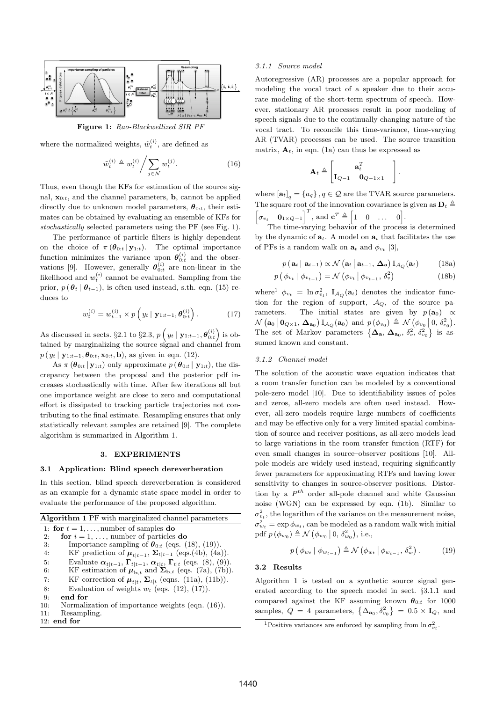

Figure 1: Rao-Blackwellized SIR PF

where the normalized weights,  $\tilde{w}_t^{(i)}$ , are defined as

$$
\tilde{w}_t^{(i)} \triangleq w_t^{(i)} / \sum_{j \in \mathcal{N}} w_t^{(j)}.
$$
\n(16)

Thus, even though the KFs for estimation of the source signal,  $\mathbf{x}_{0:t}$ , and the channel parameters, **b**, cannot be applied directly due to unknown model parameters,  $\boldsymbol{\theta}_{0:t}$ , their estimates can be obtained by evaluating an ensemble of KFs for stochastically selected parameters using the PF (see Fig. 1).

The performance of particle filters is highly dependent on the choice of  $\pi(\boldsymbol{\theta}_{0:t} | \mathbf{y}_{1:t})$ . The optimal importance function minimizes the variance upon  $\theta_{0:t}^{(i)}$  and the observations [9]. However, generally  $\boldsymbol{\theta}_{0:t}^{(i)}$  are non-linear in the likelihood and  $w_t^{(i)}$  cannot be evaluated. Sampling from the prior,  $p(\theta_t | \theta_{t-1})$ , is often used instead, s.th. eqn. (15) reduces to

$$
w_t^{(i)} = w_{t-1}^{(i)} \times p\left(y_t \mid \mathbf{y}_{1:t-1}, \boldsymbol{\theta}_{0:t}^{(i)}\right).
$$
 (17)

As discussed in sects. §2.1 to §2.3,  $p\left(y_t | y_{1:t-1}, \theta_{0:t}^{(i)}\right)$  is obtained by marginalizing the source signal and channel from  $p(y_t | y_{1:t-1}, \theta_{0:t}, \mathbf{x}_{0:t}, \mathbf{b})$ , as given in eqn. (12).

As  $\pi(\boldsymbol{\theta}_{0:t} | \mathbf{y}_{1:t})$  only approximate  $p(\boldsymbol{\theta}_{0:t} | \mathbf{y}_{1:t})$ , the discrepancy between the proposal and the posterior pdf increases stochastically with time. After few iterations all but one importance weight are close to zero and computational effort is dissipated to tracking particle trajectories not contributing to the final estimate. Resampling ensures that only statistically relevant samples are retained [9]. The complete algorithm is summarized in Algorithm 1.

# 3. EXPERIMENTS

# 3.1 Application: Blind speech dereverberation

In this section, blind speech dereverberation is considered as an example for a dynamic state space model in order to evaluate the performance of the proposed algorithm.

| <b>Algorithm 1</b> PF with marginalized channel parameters                                            |
|-------------------------------------------------------------------------------------------------------|
| 1: for $t = 1, \ldots$ , number of samples do                                                         |
| for $i = 1, \ldots$ , number of particles do<br>2:                                                    |
| Importance sampling of $\theta_{0:t}$ (eqs. (18), (19)).<br>3:                                        |
| KF prediction of $\boldsymbol{\mu}_{t t-1}$ , $\boldsymbol{\Sigma}_{t t-1}$ (eqs.(4b), (4a)).<br>4:   |
| Evaluate $\alpha_{t t-1}$ , $\Gamma_{t t-1}$ , $\alpha_{t t}$ , $\Gamma_{t t}$ (eqs. (8), (9)).<br>5: |
| KF estimation of $\mu_{\mathbf{b},t}$ and $\Sigma_{\mathbf{b},t}$ (eqs. (7a), (7b)).<br>6:            |
| KF correction of $\boldsymbol{\mu}_{t t}$ , $\boldsymbol{\Sigma}_{t t}$ (eqns. (11a), (11b)).<br>7:   |
| Evaluation of weights $w_t$ (eqs. (12), (17)).<br>8:                                                  |
| end for<br>9:                                                                                         |
| Normalization of importance weights (eqn. (16)).<br>10:                                               |
| Resampling.<br>11:                                                                                    |
| $12:$ end for                                                                                         |

### 3.1.1 Source model

Autoregressive (AR) processes are a popular approach for modeling the vocal tract of a speaker due to their accurate modeling of the short-term spectrum of speech. However, stationary AR processes result in poor modeling of speech signals due to the continually changing nature of the vocal tract. To reconcile this time-variance, time-varying AR (TVAR) processes can be used. The source transition matrix,  $A_t$ , in eqn. (1a) can thus be expressed as

$$
\mathbf{A}_t \triangleq \begin{bmatrix} \mathbf{a}_t^T & \mathbf{a}_t^T & \mathbf{I}_{Q-1} & \mathbf{I}_{Q-1} & \mathbf{I}_{Q-1} & \mathbf{I}_{Q-1} & \mathbf{I}_{Q-1} & \mathbf{I}_{Q-1} & \mathbf{I}_{Q-1} & \mathbf{I}_{Q-1} & \mathbf{I}_{Q-1} & \mathbf{I}_{Q-1} & \mathbf{I}_{Q-1} & \mathbf{I}_{Q-1} & \mathbf{I}_{Q-1} & \mathbf{I}_{Q-1} & \mathbf{I}_{Q-1} & \mathbf{I}_{Q-1} & \mathbf{I}_{Q-1} & \mathbf{I}_{Q-1} & \mathbf{I}_{Q-1} & \mathbf{I}_{Q-1} & \mathbf{I}_{Q-1} & \mathbf{I}_{Q-1} & \mathbf{I}_{Q-1} & \mathbf{I}_{Q-1} & \mathbf{I}_{Q-1} & \mathbf{I}_{Q-1} & \mathbf{I}_{Q-1} & \mathbf{I}_{Q-1} & \mathbf{I}_{Q-1} & \mathbf{I}_{Q-1} & \mathbf{I}_{Q-1} & \mathbf{I}_{Q-1} & \mathbf{I}_{Q-1} & \mathbf{I}_{Q-1} & \mathbf{I}_{Q-1} & \mathbf{I}_{Q-1} & \mathbf{I}_{Q-1} & \mathbf{I}_{Q-1} & \mathbf{I}_{Q-1} & \mathbf{I}_{Q-1} & \mathbf{I}_{Q-1} & \mathbf{I}_{Q-1} & \mathbf{I}_{Q-1} & \mathbf{I}_{Q-1} & \mathbf{I}_{Q-1} & \mathbf{I}_{Q-1} & \mathbf{I}_{Q-1} & \mathbf{I}_{Q-1} & \mathbf{I}_{Q-1} & \mathbf{I}_{Q-1} & \mathbf{I}_{Q-1} & \mathbf{I}_{Q-1} & \mathbf{I}_{Q-1} & \mathbf{I}_{Q-1} & \mathbf{I}_{Q-1} & \mathbf{I}_{Q-1} & \mathbf{I}_{Q-1} & \mathbf{I}_{Q-1} & \mathbf{I}_{Q-1} & \mathbf{I}_{Q-1} & \mathbf{I}_{Q-1} & \mathbf{I}_{Q-1} & \mathbf{I}_{Q-1} & \mathbf{I}_{Q-1} & \mathbf{I}_{Q-1} & \mathbf{I}_{Q-1
$$

.

where  $\left[\mathbf{a}_t\right]_q = \{a_q\}$ ,  $q \in \mathcal{Q}$  are the TVAR source parameters. The square root of the innovation covariance is given as  $\mathbf{D}_t \triangleq$  $\begin{bmatrix} \sigma_{v_t} & \mathbf{0}_{1 \times Q-1} \end{bmatrix}^T$ , and  $\mathbf{c}^T \triangleq \begin{bmatrix} 1 & 0 & \dots & 0 \end{bmatrix}$ .

The time-varying behavior of the process is determined by the dynamic of  $\mathbf{a}_t$ . A model on  $\mathbf{a}_t$  that facilitates the use of PFs is a random walk on  $\mathbf{a}_t$  and  $\phi_{v_t}$  [3],

$$
p(\mathbf{a}_t | \mathbf{a}_{t-1}) \propto \mathcal{N}(\mathbf{a}_t | \mathbf{a}_{t-1}, \Delta_\mathbf{a}) \mathbb{I}_{\mathcal{A}_Q}(\mathbf{a}_t) \qquad (18a)
$$

$$
p\left(\phi_{v_t} \mid \phi_{v_{t-1}}\right) = \mathcal{N}\left(\phi_{v_t} \mid \phi_{v_{t-1}}, \delta_v^2\right) \tag{18b}
$$

where<sup>1</sup>  $\phi_{v_t} = \ln \sigma_{v_t}^2$ ,  $\mathbb{I}_{\mathcal{A}_Q}(\mathbf{a}_t)$  denotes the indicator function for the region of support,  $A_Q$ , of the source parameters. The initial states are given by  $p(\mathbf{a}_0) \propto$  $\mathcal{N}\left(\mathbf{a}_0 \,|\, \mathbf{0}_{Q\times 1},\, \boldsymbol{\Delta}_{\mathbf{a}_0}\right) \mathbb{I}_{\mathcal{A}_Q}(\mathbf{a}_0) \text{ and } p\left(\phi_{v_0}\right) \triangleq \mathcal{N}\left(\phi_{v_0} \,|\, 0, \,\delta_{e_0}^2\right).$ The set of Markov parameters  $\{\Delta_{\mathbf{a}}, \Delta_{\mathbf{a}_0}, \delta_v^2, \delta_{v_0}^2\}$  is assumed known and constant.

### 3.1.2 Channel model

The solution of the acoustic wave equation indicates that a room transfer function can be modeled by a conventional pole-zero model [10]. Due to identifiability issues of poles and zeros, all-zero models are often used instead. However, all-zero models require large numbers of coefficients and may be effective only for a very limited spatial combination of source and receiver positions, as all-zero models lead to large variations in the room transfer function (RTF) for even small changes in source–observer positions [10]. Allpole models are widely used instead, requiring significantly fewer parameters for approximating RTFs and having lower sensitivity to changes in source-observer positions. Distortion by a  $P^{th}$  order all-pole channel and white Gaussian noise (WGN) can be expressed by eqn. (1b). Similar to  $\sigma_{vt}^2$ , the logarithm of the variance on the measurement noise,  $\sigma_{w_t}^2 = \exp \phi_{w_t}$ , can be modeled as a random walk with initial pdf  $p(\phi_{w_0}) \triangleq \mathcal{N}(\phi_{w_0} | 0, \delta_{w_0}^2)$ , i.e.,

$$
p\left(\phi_{w_t} \mid \phi_{w_{t-1}}\right) \triangleq \mathcal{N}\left(\phi_{w_t} \mid \phi_{w_{t-1}}, \delta_w^2\right). \tag{19}
$$

## 3.2 Results

Algorithm 1 is tested on a synthetic source signal generated according to the speech model in sect. §3.1.1 and compared against the KF assuming known  $\theta_{0:t}$  for 1000 samples,  $Q = 4$  parameters,  $\{\Delta_{\mathbf{a}_0}, \delta_{v_0}^2\} = 0.5 \times \mathbf{I}_Q$ , and

<sup>&</sup>lt;sup>1</sup>Positive variances are enforced by sampling from  $\ln \sigma_{v_t}^2$ .